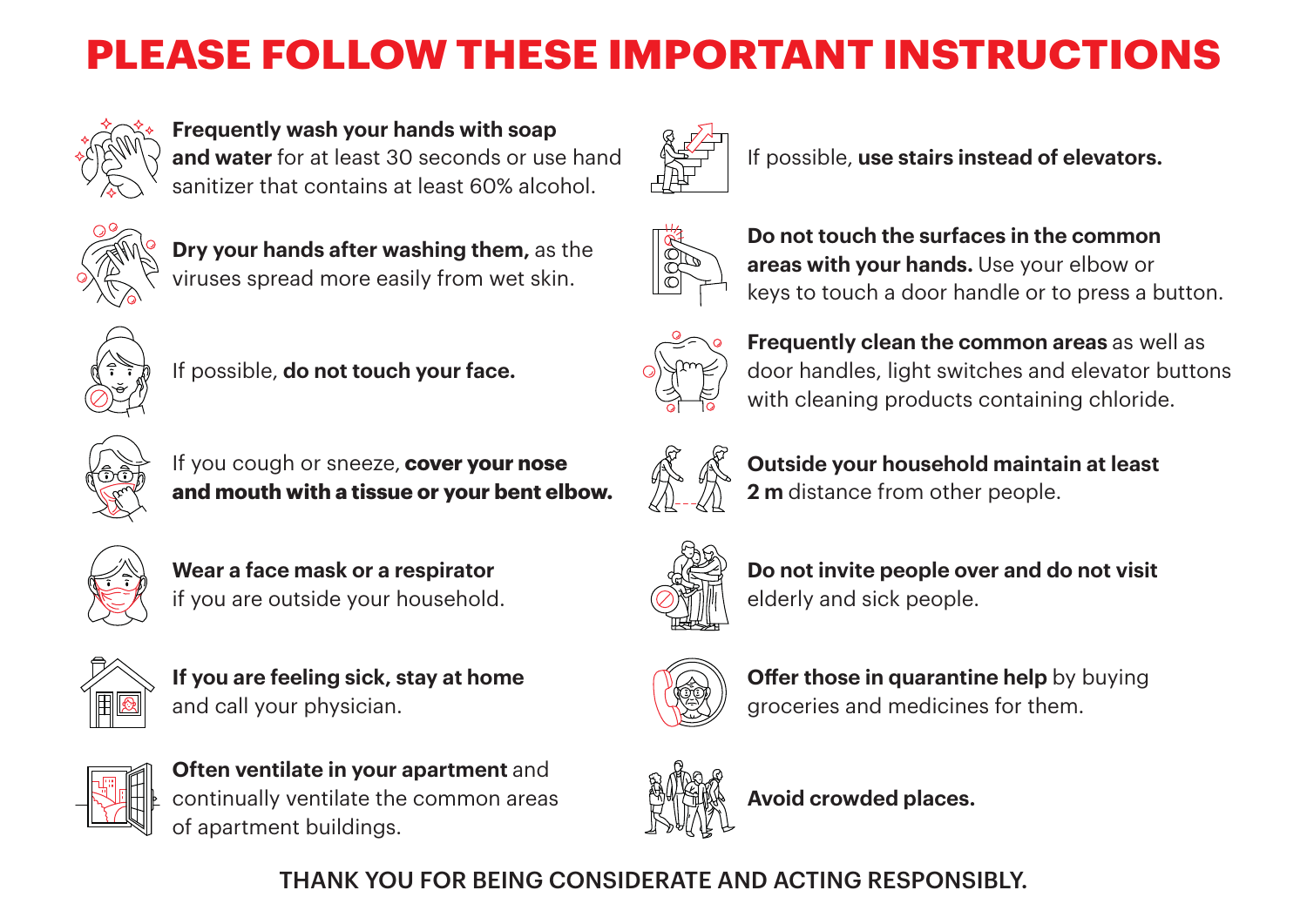## **PLEASE FOLLOW THESE IMPORTANT INSTRUCTIONS**



**Frequently wash your hands with soap and water** for at least 30 seconds or use hand sanitizer that contains at least 60% alcohol.



**Dry your hands after washing them,** as the viruses spread more easily from wet skin.



If possible, **do not touch your face.**



If you cough or sneeze, **cover your nose and mouth with a tissue or your bent elbow.**







**If you are feeling sick, stay at home** and call your physician.



**Often ventilate in your apartment** and continually ventilate the common areas of apartment buildings.



If possible, **use stairs instead of elevators.**



**Do not touch the surfaces in the common areas with your hands.** Use your elbow or keys to touch a door handle or to press a button.



**Frequently clean the common areas** as well as door handles, light switches and elevator buttons with cleaning products containing chloride.



**Outside your household maintain at least 2 m** distance from other people.



**Do not invite people over and do not visit** elderly and sick people.



**Offer those in quarantine help** by buying groceries and medicines for them.



**Avoid crowded places.**

THANK YOU FOR BEING CONSIDERATE AND ACTING RESPONSIBLY.